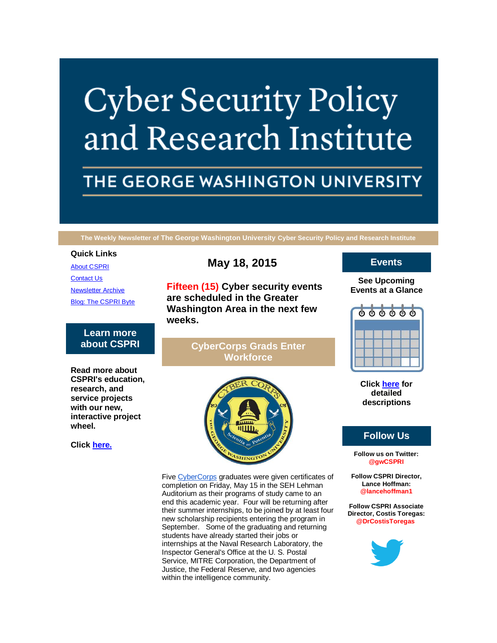# **Cyber Security Policy** and Research Institute

# THE GEORGE WASHINGTON UNIVERSITY

**The Weekly Newsletter of The George Washington University Cyber Security Policy and Research Institute**

#### **Quick Links**

[About CSPRI](http://r20.rs6.net/tn.jsp?f=001fiH3SgSrC7hfVIrkQVJocbPxNDGt13qDkOEsR2rhe0V9p1c5j2z0LWka-6JZvYqxslkzkwNF8MkLbZVo1Sc-rn-HXT5O0i4qv1PD9PyKhTqxk77XP3jFaQ0HEs4YZUf-JILPbROHIdo4gfOSebFJFov5TkMRH-aPfILQRoezEL2C6JljKtBe9cwhGQs9EWjJ&c=HNtBfx0ftn4iIazW4mwtWyyW07G_cRw-IGi8XWBlv65a1xQe42IVYQ==&ch=1Pw7OaeK_aQgT1W5t6nul_RlGab3NkYAMyGY1h5qKFiLcDDZGcYOAw==) [Contact Us](http://r20.rs6.net/tn.jsp?f=001fiH3SgSrC7hfVIrkQVJocbPxNDGt13qDkOEsR2rhe0V9p1c5j2z0LWka-6JZvYqxug7fADztKB19PYuBudkIAivYohdOmvY7bdMZDQ6D6TfN0NEZpNYczsfVrSh-7yeChHDBPNw1lnbdU95RXe8xc-gMSJJ5BlOpdLcU30N2LNi-6xvYOMA0b5gffu2BXibuHHEpdgk673Q=&c=HNtBfx0ftn4iIazW4mwtWyyW07G_cRw-IGi8XWBlv65a1xQe42IVYQ==&ch=1Pw7OaeK_aQgT1W5t6nul_RlGab3NkYAMyGY1h5qKFiLcDDZGcYOAw==) [Newsletter Archive](http://r20.rs6.net/tn.jsp?f=001fiH3SgSrC7hfVIrkQVJocbPxNDGt13qDkOEsR2rhe0V9p1c5j2z0LWka-6JZvYqxEezuVFl9fSqjnEOihbztZd4WqK0TfsT9aX4-xngQw8CP8sE0BMk-tuEsmpFQiqpWD3XqmREwlc82PyxufX1i4Cnbp19ZE_6JbPAs-e5G9pB2B-H3ukZBJ1c39OK8ViCQeaOaAN0UWM4=&c=HNtBfx0ftn4iIazW4mwtWyyW07G_cRw-IGi8XWBlv65a1xQe42IVYQ==&ch=1Pw7OaeK_aQgT1W5t6nul_RlGab3NkYAMyGY1h5qKFiLcDDZGcYOAw==) [Blog: The CSPRI Byte](http://r20.rs6.net/tn.jsp?f=001fiH3SgSrC7hfVIrkQVJocbPxNDGt13qDkOEsR2rhe0V9p1c5j2z0LWka-6JZvYqxrDZxH-LtQAbk2Vyn82FDecWAs-OHBsE8p5pETPIGohqFZU21yD9sARe8gsAd7Ix4ZQ66xKIDbfchla9KReyyZcOW7YlFWvYt3N8IviiacmQCvWbt3NedKZoxp1TQZp0G&c=HNtBfx0ftn4iIazW4mwtWyyW07G_cRw-IGi8XWBlv65a1xQe42IVYQ==&ch=1Pw7OaeK_aQgT1W5t6nul_RlGab3NkYAMyGY1h5qKFiLcDDZGcYOAw==)

# **Learn more about CSPRI**

**Read more about CSPRI's education, research, and service projects with our new, interactive project wheel.**

**Click [here.](http://r20.rs6.net/tn.jsp?f=001fiH3SgSrC7hfVIrkQVJocbPxNDGt13qDkOEsR2rhe0V9p1c5j2z0LWka-6JZvYqxslkzkwNF8MkLbZVo1Sc-rn-HXT5O0i4qv1PD9PyKhTqxk77XP3jFaQ0HEs4YZUf-JILPbROHIdo4gfOSebFJFov5TkMRH-aPfILQRoezEL2C6JljKtBe9cwhGQs9EWjJ&c=HNtBfx0ftn4iIazW4mwtWyyW07G_cRw-IGi8XWBlv65a1xQe42IVYQ==&ch=1Pw7OaeK_aQgT1W5t6nul_RlGab3NkYAMyGY1h5qKFiLcDDZGcYOAw==)**

# **May 18, 2015**

**Fifteen (15) Cyber security events are scheduled in the Greater Washington Area in the next few weeks.**

# **CyberCorps Grads Enter Workforce**



Five [CyberCorps](http://r20.rs6.net/tn.jsp?f=001fiH3SgSrC7hfVIrkQVJocbPxNDGt13qDkOEsR2rhe0V9p1c5j2z0LUJfcWJeb6gMZtCy8wI2zwu0cwcmkZJvDipGklbMY7mOep4c7ew1KBugQ_MWGehLr0wyv2fbGo-vPQPvJ_T5AgaIkI_oIcluo8Jbo4bibuyp5Benn5DpVjX1Ys7Es5Q17xfwEMSMkhJM&c=HNtBfx0ftn4iIazW4mwtWyyW07G_cRw-IGi8XWBlv65a1xQe42IVYQ==&ch=1Pw7OaeK_aQgT1W5t6nul_RlGab3NkYAMyGY1h5qKFiLcDDZGcYOAw==) graduates were given certificates of completion on Friday, May 15 in the SEH Lehman Auditorium as their programs of study came to an end this academic year. Four will be returning after their summer internships, to be joined by at least four new scholarship recipients entering the program in September. Some of the graduating and returning students have already started their jobs or internships at the Naval Research Laboratory, the Inspector General's Office at the U. S. Postal Service, MITRE Corporation, the Department of Justice, the Federal Reserve, and two agencies within the intelligence community.

# **Events**

**See Upcoming Events at a Glance**



**Click [here](http://r20.rs6.net/tn.jsp?f=001fiH3SgSrC7hfVIrkQVJocbPxNDGt13qDkOEsR2rhe0V9p1c5j2z0LWka-6JZvYqxkj0lqbQM9vYx5oDmawdWWnezWbEH5ISGFlSHcBrp4PXIJkXRoFE5virpuKvRa1myFw6SMG_Er_DacG0NwfP3Dp6Uy_DOxSLUROMgFdxvCELMaJUQI8KvZbE7cIuDZqIWn5rn1-EDE7ZptZnyy9Pu1A==&c=HNtBfx0ftn4iIazW4mwtWyyW07G_cRw-IGi8XWBlv65a1xQe42IVYQ==&ch=1Pw7OaeK_aQgT1W5t6nul_RlGab3NkYAMyGY1h5qKFiLcDDZGcYOAw==) for detailed descriptions**

#### **Follow Us**

**Follow us on Twitter: @gwCSPRI**

**Follow CSPRI Director, Lance Hoffman: @lancehoffman1**

**Follow CSPRI Associate Director, Costis Toregas: @DrCostisToregas**

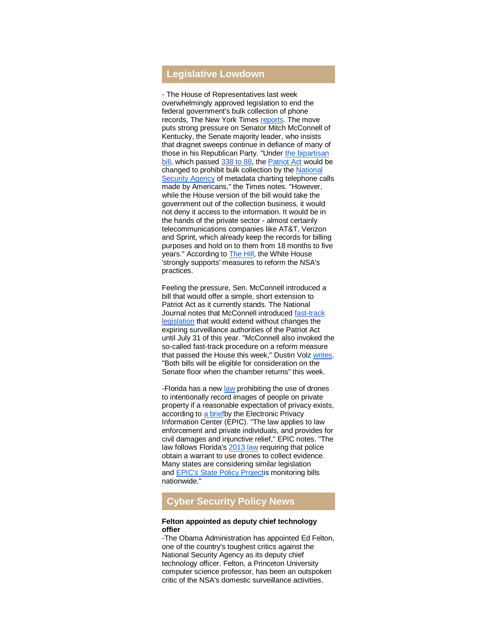## **Legislative Lowdown**

- The House of Representatives last week overwhelmingly approved legislation to end the federal government's bulk collection of phone records, The New York Times [reports.](http://r20.rs6.net/tn.jsp?f=001fiH3SgSrC7hfVIrkQVJocbPxNDGt13qDkOEsR2rhe0V9p1c5j2z0LXnnJMadUwtxHj1Kn0S076QiW5FKv9uGeDDNjxPQzejvMeGTncwt6cNFyYlz0NKFBhcbf_HqRd-t_mRRe_jqNlkQzmHJBPlT3RnkYiQRU1neTdSKszhnd6xd7eR737qBq0hSmlLy9so8mrSlP3gV22a5wKytUSfbHVMwrrx2zKsYuz-YYFJKIlrU_12RNUhLKS1QJVMQefJ22pndXyQTD7cvZMLwXFvBzn5n_K9wrf8QXpj6768FW2oi2fBQldrVYHtzu0MGwo4MPBReDAW9PBFHSAmqag9fqA==&c=HNtBfx0ftn4iIazW4mwtWyyW07G_cRw-IGi8XWBlv65a1xQe42IVYQ==&ch=1Pw7OaeK_aQgT1W5t6nul_RlGab3NkYAMyGY1h5qKFiLcDDZGcYOAw==) The move puts strong pressure on Senator Mitch McConnell of Kentucky, the Senate majority leader, who insists that dragnet sweeps continue in defiance of many of those in his Republican Party. "Under [the bipartisan](http://r20.rs6.net/tn.jsp?f=001fiH3SgSrC7hfVIrkQVJocbPxNDGt13qDkOEsR2rhe0V9p1c5j2z0LXnnJMadUwtxBdKslrwGaHCfB1r-Sicpja-hMKHDQP85Fg5irZgJHnfmH9lMxAt5dEnE1NT4wuK4m_hOBE4MjbzEReoWIzCkNvVd4yi4uWg0lmkz652Gm1sc6BKEKCiUMd7t0JIr8PZbYe5lGjdm5Tkh2jvv1Ne35Ob8ZpkLLOGR&c=HNtBfx0ftn4iIazW4mwtWyyW07G_cRw-IGi8XWBlv65a1xQe42IVYQ==&ch=1Pw7OaeK_aQgT1W5t6nul_RlGab3NkYAMyGY1h5qKFiLcDDZGcYOAw==)  [bill,](http://r20.rs6.net/tn.jsp?f=001fiH3SgSrC7hfVIrkQVJocbPxNDGt13qDkOEsR2rhe0V9p1c5j2z0LXnnJMadUwtxBdKslrwGaHCfB1r-Sicpja-hMKHDQP85Fg5irZgJHnfmH9lMxAt5dEnE1NT4wuK4m_hOBE4MjbzEReoWIzCkNvVd4yi4uWg0lmkz652Gm1sc6BKEKCiUMd7t0JIr8PZbYe5lGjdm5Tkh2jvv1Ne35Ob8ZpkLLOGR&c=HNtBfx0ftn4iIazW4mwtWyyW07G_cRw-IGi8XWBlv65a1xQe42IVYQ==&ch=1Pw7OaeK_aQgT1W5t6nul_RlGab3NkYAMyGY1h5qKFiLcDDZGcYOAw==) which passed [338 to 88,](http://r20.rs6.net/tn.jsp?f=001fiH3SgSrC7hfVIrkQVJocbPxNDGt13qDkOEsR2rhe0V9p1c5j2z0LXnnJMadUwtx6gfbQvAabEerZESoA2J0AGt7YPj0qje_afsU5ICRx3mTvqgFFaWMVrFm2eLV1QEw912bROk4m_RsQKwYRHPvn-Qpa3m77iv_BJ8AxuJ4g2mSYdfn_BkUlXjzXTjG6O6Z7Ucer8nc1jHxkUySRhsfuaskbX5NY3MPdPt4zclRhZI=&c=HNtBfx0ftn4iIazW4mwtWyyW07G_cRw-IGi8XWBlv65a1xQe42IVYQ==&ch=1Pw7OaeK_aQgT1W5t6nul_RlGab3NkYAMyGY1h5qKFiLcDDZGcYOAw==) the [Patriot Act](http://r20.rs6.net/tn.jsp?f=001fiH3SgSrC7hfVIrkQVJocbPxNDGt13qDkOEsR2rhe0V9p1c5j2z0LXnnJMadUwtxzpXo7s6KP0metMAiwwo87yKAr0qdFTC5Bmx3GxpAjzJfAxPBkqWx388kA6A3OG5thrNFR936XLoU0EbfjvuhmKMGZc6ox7F4kflgKu79a9BE6U9ZMtK2M6jaoQAyvZtMlHo_i3Ees2wScSXKIcyy_7_DUS85AzzhMBoWuWbdT4-EoFKwBJv6OOiJSs2mCGCsn6V5OjwlFjmhz1WLHI60-vEU4BCDZNDwCQoMuMqqzALT-fitzb6KWQ==&c=HNtBfx0ftn4iIazW4mwtWyyW07G_cRw-IGi8XWBlv65a1xQe42IVYQ==&ch=1Pw7OaeK_aQgT1W5t6nul_RlGab3NkYAMyGY1h5qKFiLcDDZGcYOAw==) would be changed to prohibit bulk collection by the [National](http://r20.rs6.net/tn.jsp?f=001fiH3SgSrC7hfVIrkQVJocbPxNDGt13qDkOEsR2rhe0V9p1c5j2z0LXnnJMadUwtxUz-W39VhVXsUnokF6k4K0MVLCEuDaXO2PPck6wSCs-_8KC-gLA_oS_h4uMN7RYwNFTfH3rB4Cx1jLzEbcG8f_GPP2_8SAF7yDXHiI-qfO_HbVjnbeQfAOWodib7RIhcgzPPJXJmH3YVg24jV-ypJbbx6GOmW8V6phDnJthu6FjjSWS2idB3SEVGsz3feBZjqVbvaF-0tDOWPK_fVC_xWJHlN5TZ0EJBnquWgZ6MwkwtpxhNg3q9LSOqsuuX1vweE&c=HNtBfx0ftn4iIazW4mwtWyyW07G_cRw-IGi8XWBlv65a1xQe42IVYQ==&ch=1Pw7OaeK_aQgT1W5t6nul_RlGab3NkYAMyGY1h5qKFiLcDDZGcYOAw==)  [Security Agency](http://r20.rs6.net/tn.jsp?f=001fiH3SgSrC7hfVIrkQVJocbPxNDGt13qDkOEsR2rhe0V9p1c5j2z0LXnnJMadUwtxUz-W39VhVXsUnokF6k4K0MVLCEuDaXO2PPck6wSCs-_8KC-gLA_oS_h4uMN7RYwNFTfH3rB4Cx1jLzEbcG8f_GPP2_8SAF7yDXHiI-qfO_HbVjnbeQfAOWodib7RIhcgzPPJXJmH3YVg24jV-ypJbbx6GOmW8V6phDnJthu6FjjSWS2idB3SEVGsz3feBZjqVbvaF-0tDOWPK_fVC_xWJHlN5TZ0EJBnquWgZ6MwkwtpxhNg3q9LSOqsuuX1vweE&c=HNtBfx0ftn4iIazW4mwtWyyW07G_cRw-IGi8XWBlv65a1xQe42IVYQ==&ch=1Pw7OaeK_aQgT1W5t6nul_RlGab3NkYAMyGY1h5qKFiLcDDZGcYOAw==) of metadata charting telephone calls made by Americans," the Times notes. "However, while the House version of the bill would take the government out of the collection business, it would not deny it access to the information. It would be in the hands of the private sector - almost certainly telecommunications companies like AT&T, Verizon and Sprint, which already keep the records for billing purposes and hold on to them from 18 months to five years." According to **The Hill**, the White House 'strongly supports' measures to reform the NSA's practices.

Feeling the pressure, Sen. McConnell introduced a bill that would offer a simple, short extension to Patriot Act as it currently stands. The National Journal notes that McConnell introduced [fast-track](http://r20.rs6.net/tn.jsp?f=001fiH3SgSrC7hfVIrkQVJocbPxNDGt13qDkOEsR2rhe0V9p1c5j2z0LXnnJMadUwtxkDCfMW5Bm2-jXTbPNQHVJxq-lHoDtPC9M7Dvr08idPwI4-EXGppvPp6R12tlpcDste6t36aidZWCv-lvFa2V0EQR9eWJs_CAmy1J8KVfI7UUbl298mp0qAxRdCBtAzt6rCiHGNTa6qrH_1Hr2LUXShWCfq9wUU5mcroKYmX168HfOeb2-4pyoZ6LKC2IprWy&c=HNtBfx0ftn4iIazW4mwtWyyW07G_cRw-IGi8XWBlv65a1xQe42IVYQ==&ch=1Pw7OaeK_aQgT1W5t6nul_RlGab3NkYAMyGY1h5qKFiLcDDZGcYOAw==)  [legislation](http://r20.rs6.net/tn.jsp?f=001fiH3SgSrC7hfVIrkQVJocbPxNDGt13qDkOEsR2rhe0V9p1c5j2z0LXnnJMadUwtxkDCfMW5Bm2-jXTbPNQHVJxq-lHoDtPC9M7Dvr08idPwI4-EXGppvPp6R12tlpcDste6t36aidZWCv-lvFa2V0EQR9eWJs_CAmy1J8KVfI7UUbl298mp0qAxRdCBtAzt6rCiHGNTa6qrH_1Hr2LUXShWCfq9wUU5mcroKYmX168HfOeb2-4pyoZ6LKC2IprWy&c=HNtBfx0ftn4iIazW4mwtWyyW07G_cRw-IGi8XWBlv65a1xQe42IVYQ==&ch=1Pw7OaeK_aQgT1W5t6nul_RlGab3NkYAMyGY1h5qKFiLcDDZGcYOAw==) that would extend without changes the expiring surveillance authorities of the Patriot Act until July 31 of this year. "McConnell also invoked the so-called fast-track procedure on a reform measure that passed the House this week," Dustin Volz [writes.](http://r20.rs6.net/tn.jsp?f=001fiH3SgSrC7hfVIrkQVJocbPxNDGt13qDkOEsR2rhe0V9p1c5j2z0LXnnJMadUwtxrOeQIEqiM4AZVsaYs6K6AZB40KUYX5UV0sSwRRdkCoegPoFPhIWzUDfd7g41OZshqz5on3uk2wWpL_cweNzINHr6Wij3degPtPBiUmQcAk5fvnPZN2rL3RRheQpve2OI5E1ennWvQ49-tbW1T2kUscjJ-WA0OLrKqL3gVzRouiFtxt0OKn08m3C2Og_9PiLePb9s3JqOR0lErjkS-ZlzzwYpuWLz73lM&c=HNtBfx0ftn4iIazW4mwtWyyW07G_cRw-IGi8XWBlv65a1xQe42IVYQ==&ch=1Pw7OaeK_aQgT1W5t6nul_RlGab3NkYAMyGY1h5qKFiLcDDZGcYOAw==) "Both bills will be eligible for consideration on the Senate floor when the chamber returns" this week.

-Florida has a new [law](http://r20.rs6.net/tn.jsp?f=001fiH3SgSrC7hfVIrkQVJocbPxNDGt13qDkOEsR2rhe0V9p1c5j2z0LXnnJMadUwtxnIGkTOOrhgaHcUULBr-X1ebQ6ZYrkkm-6ELO4u7En9UtuMwgCsHJJI737YEmF541txwSaa4M6xsER7oSnk_C-kYsutacSPcCkydcPyXnwv4Z8RperL0RQg==&c=HNtBfx0ftn4iIazW4mwtWyyW07G_cRw-IGi8XWBlv65a1xQe42IVYQ==&ch=1Pw7OaeK_aQgT1W5t6nul_RlGab3NkYAMyGY1h5qKFiLcDDZGcYOAw==) prohibiting the use of drones to intentionally record images of people on private property if a reasonable expectation of privacy exists, according to [a briefb](http://r20.rs6.net/tn.jsp?f=001fiH3SgSrC7hfVIrkQVJocbPxNDGt13qDkOEsR2rhe0V9p1c5j2z0LXnnJMadUwtxNHr17Z77GpiqEe1ADTZJEg-r34oLHl6Znm3R33uo3e7VrAMqWChGVDDOCqBUFVc8SK_ChWamA94Itq-DGHl5RlBi05hnJhTI39kBtH7izOp1KHQferf1Aw8zx5VD9zrZREMGYCBZ20PrRLovMSN7DL8Jgmicv_an&c=HNtBfx0ftn4iIazW4mwtWyyW07G_cRw-IGi8XWBlv65a1xQe42IVYQ==&ch=1Pw7OaeK_aQgT1W5t6nul_RlGab3NkYAMyGY1h5qKFiLcDDZGcYOAw==)y the Electronic Privacy Information Center (EPIC). "The law applies to law enforcement and private individuals, and provides for civil damages and injunctive relief," EPIC notes. "The law follows Florida's [2013 law](http://r20.rs6.net/tn.jsp?f=001fiH3SgSrC7hfVIrkQVJocbPxNDGt13qDkOEsR2rhe0V9p1c5j2z0LXnnJMadUwtxGvamv_mlKYLg9Ts-bHLadHf5szEhbMdjmCilRfnllMj7s1Q-UdXbnJsB4-uc0A3DuN8TbHkmBYVuNgmKZS9KO_ITudarEPRYabGAwX9FF2wc2We7sGc9Tg==&c=HNtBfx0ftn4iIazW4mwtWyyW07G_cRw-IGi8XWBlv65a1xQe42IVYQ==&ch=1Pw7OaeK_aQgT1W5t6nul_RlGab3NkYAMyGY1h5qKFiLcDDZGcYOAw==) requiring that police obtain a warrant to use drones to collect evidence. Many states are considering similar legislation and [EPIC's State Policy Projectis](http://r20.rs6.net/tn.jsp?f=001fiH3SgSrC7hfVIrkQVJocbPxNDGt13qDkOEsR2rhe0V9p1c5j2z0LXnnJMadUwtx0W-0kJ5UqyOR1iTM1ZgaG5L9NhPVuqJUJXy7NqthzTrUkJT8FeVvFeN6Vt3FoATpPNtPnXIknLRnxpIsIKYZnzjMrTXO9yELN2RwwJlfRLaB_FGdY-JOCj1ut3ysz1kR&c=HNtBfx0ftn4iIazW4mwtWyyW07G_cRw-IGi8XWBlv65a1xQe42IVYQ==&ch=1Pw7OaeK_aQgT1W5t6nul_RlGab3NkYAMyGY1h5qKFiLcDDZGcYOAw==) monitoring bills nationwide."

## **Cyber Security Policy News**

#### **Felton appointed as deputy chief technology offier**

-The Obama Administration has appointed Ed Felton, one of the country's toughest critics against the National Security Agency as its deputy chief technology officer. Felton, a Princeton University computer science professor, has been an outspoken critic of the NSA's domestic surveillance activities.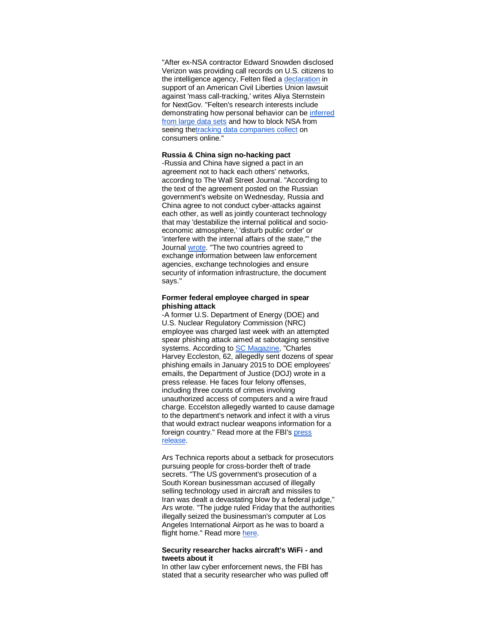"After ex-NSA contractor Edward Snowden disclosed Verizon was providing call records on U.S. citizens to the intelligence agency, Felten filed a [declaration](http://r20.rs6.net/tn.jsp?f=001fiH3SgSrC7hfVIrkQVJocbPxNDGt13qDkOEsR2rhe0V9p1c5j2z0LXnnJMadUwtxRBlHR_liVr0l447VnfcHnv7rEq-dI-0wAStoNLy4x0As1jPjHLMgQsyLwiUVYjppPY3HVOoXOUYJLOK7Qj8X3bQNJNKWlpvZAF609zXjFwHP19GJYy_wxZppldrQBKxn8ABuTU5gDaMa8QZSnRDVpgn-lzevxz_strW_3Rk4wfeaB02XVbmHvMV8MTp-C-uKih8hV5L_zD-vqqxCYREWAA==&c=HNtBfx0ftn4iIazW4mwtWyyW07G_cRw-IGi8XWBlv65a1xQe42IVYQ==&ch=1Pw7OaeK_aQgT1W5t6nul_RlGab3NkYAMyGY1h5qKFiLcDDZGcYOAw==) in support of an American Civil Liberties Union lawsuit against 'mass call-tracking,' writes Aliya Sternstein for NextGov. "Felten's research interests include demonstrating how personal behavior can be [inferred](http://r20.rs6.net/tn.jsp?f=001fiH3SgSrC7hfVIrkQVJocbPxNDGt13qDkOEsR2rhe0V9p1c5j2z0LXnnJMadUwtx_J0FRtGoqpXh2YiUjw54jT2RLatn5nw4ALq3NhdzmR1BuuS_smcvU9FnVrOG0w3gvSJaxdFpSvHOF7LruxiZuUEORBIy-lDdhJKZApjuh3RHIonmfLvn1XzFlxRRC8F0rPLdz4ybkcrrqsFnLkVEig==&c=HNtBfx0ftn4iIazW4mwtWyyW07G_cRw-IGi8XWBlv65a1xQe42IVYQ==&ch=1Pw7OaeK_aQgT1W5t6nul_RlGab3NkYAMyGY1h5qKFiLcDDZGcYOAw==)  [from large data sets](http://r20.rs6.net/tn.jsp?f=001fiH3SgSrC7hfVIrkQVJocbPxNDGt13qDkOEsR2rhe0V9p1c5j2z0LXnnJMadUwtx_J0FRtGoqpXh2YiUjw54jT2RLatn5nw4ALq3NhdzmR1BuuS_smcvU9FnVrOG0w3gvSJaxdFpSvHOF7LruxiZuUEORBIy-lDdhJKZApjuh3RHIonmfLvn1XzFlxRRC8F0rPLdz4ybkcrrqsFnLkVEig==&c=HNtBfx0ftn4iIazW4mwtWyyW07G_cRw-IGi8XWBlv65a1xQe42IVYQ==&ch=1Pw7OaeK_aQgT1W5t6nul_RlGab3NkYAMyGY1h5qKFiLcDDZGcYOAw==) and how to block NSA from seeing th[etracking data companies collect](http://r20.rs6.net/tn.jsp?f=001fiH3SgSrC7hfVIrkQVJocbPxNDGt13qDkOEsR2rhe0V9p1c5j2z0LXnnJMadUwtxvGfhHH5E_vwEEtq8YyIYoAmlES1pFm5PVb_Tiaxfikhz-mv6WRv7PVzMRV50GwGxZVZMsjWDrkskbkzPFRDXxEsyx2sLciNaSS0W07mOUbhtjnoQaMjjxZHAK5aZ8OloUn50JwbAZXsZP_TSTcY776MJtl_hMdzFyBMVRFvkRwdbUnmTJQUaLHvPQR1d1zZrRs8ZSYBjR23gOXYxtprHux2tuITpcJ9G&c=HNtBfx0ftn4iIazW4mwtWyyW07G_cRw-IGi8XWBlv65a1xQe42IVYQ==&ch=1Pw7OaeK_aQgT1W5t6nul_RlGab3NkYAMyGY1h5qKFiLcDDZGcYOAw==) on consumers online."

#### **Russia & China sign no-hacking pact**

-Russia and China have signed a pact in an agreement not to hack each others' networks, according to The Wall Street Journal. "According to the text of the agreement posted on the Russian government's website on Wednesday, Russia and China agree to not conduct cyber-attacks against each other, as well as jointly counteract technology that may 'destabilize the internal political and socioeconomic atmosphere,' 'disturb public order' or 'interfere with the internal affairs of the state,'" the Journal [wrote.](http://r20.rs6.net/tn.jsp?f=001fiH3SgSrC7hfVIrkQVJocbPxNDGt13qDkOEsR2rhe0V9p1c5j2z0LXnnJMadUwtxqPZbnpmXLOJKQCBIOC8daw-ofTmM54woX0DRlZZ7wgQRqvKv5Rd_ldpHYPfv9xvQ17QEERNPGRaHLngQzcD4Tl2z1DO0OI5y0cWpAkCxi8AQClDcftwgw-gSdoyxkKhcUONjtzgSZ9TXNDt2I_jBP3_o_TowYqGfMHfhsHv5PVJr9MJra4h7U0Yjp9aoaU2DmMXkBKHEXBA=&c=HNtBfx0ftn4iIazW4mwtWyyW07G_cRw-IGi8XWBlv65a1xQe42IVYQ==&ch=1Pw7OaeK_aQgT1W5t6nul_RlGab3NkYAMyGY1h5qKFiLcDDZGcYOAw==) "The two countries agreed to exchange information between law enforcement agencies, exchange technologies and ensure security of information infrastructure, the document says."

#### **Former federal employee charged in spear phishing attack**

-A former U.S. Department of Energy (DOE) and U.S. Nuclear Regulatory Commission (NRC) employee was charged last week with an attempted spear phishing attack aimed at sabotaging sensitive systems. According to [SC Magazine,](http://r20.rs6.net/tn.jsp?f=001fiH3SgSrC7hfVIrkQVJocbPxNDGt13qDkOEsR2rhe0V9p1c5j2z0LXnnJMadUwtx7iHctvV4tbwBreiRxW1zb_aT6yt9Qc_mMF_sE26J9Huo9017oG9nERQuvvCPlSzk4oDmwIqRBAiGXpQbMZ9tEFIKmR375UT8E1T1fpePbFJCPNOG152LIncNDMJtYQXT5-EFJfwjjgDSBo9yKjDqjTcychiVsC0Hv4v7N7M0qXwXAMnSAnal_MCg68yhXMJ7rA_ZXwUY-UMdTF5SbRdjTaEz8j2QpVpH&c=HNtBfx0ftn4iIazW4mwtWyyW07G_cRw-IGi8XWBlv65a1xQe42IVYQ==&ch=1Pw7OaeK_aQgT1W5t6nul_RlGab3NkYAMyGY1h5qKFiLcDDZGcYOAw==) "Charles Harvey Eccleston, 62, allegedly sent dozens of spear phishing emails in January 2015 to DOE employees' emails, the Department of Justice (DOJ) wrote in a press release. He faces four felony offenses, including three counts of crimes involving unauthorized access of computers and a wire fraud charge. Eccelston allegedly wanted to cause damage to the department's network and infect it with a virus that would extract nuclear weapons information for a foreign country." Read more at the FBI's press [release.](http://r20.rs6.net/tn.jsp?f=001fiH3SgSrC7hfVIrkQVJocbPxNDGt13qDkOEsR2rhe0V9p1c5j2z0LXnnJMadUwtxJIIXnewGlEULr6XVFodJKoWQBITQhK0atBtQV7KAVJDuzyziynoYXz4db2hYbdxndrsRIWAfpgA_6n1MS6YaA0eIWZZusLBafyTvVjGgCxmafbtdfmLgzKlyriyoSH_CQ0gHYrpJPBSCLuJhEjYs5oxmYaP4mdf7WzmSrpFk4X79hnoYBrvY3rzS14msyN0vcSyIJDP2YVf_FCagL6XefAwCYA7h9x0B1CwGhNTqdclemWiWn8cfgj8PzOgDwkrUfjBRD-G_ufkyfTwRE22F9o1ipxWHyd8saruQtGTFXcGqTXjl4YMlxocFezBHuqOA_AKmQf3CAMw=&c=HNtBfx0ftn4iIazW4mwtWyyW07G_cRw-IGi8XWBlv65a1xQe42IVYQ==&ch=1Pw7OaeK_aQgT1W5t6nul_RlGab3NkYAMyGY1h5qKFiLcDDZGcYOAw==)

Ars Technica reports about a setback for prosecutors pursuing people for cross-border theft of trade secrets. "The US government's prosecution of a South Korean businessman accused of illegally selling technology used in aircraft and missiles to Iran was dealt a devastating blow by a federal judge," Ars wrote. "The judge ruled Friday that the authorities illegally seized the businessman's computer at Los Angeles International Airport as he was to board a flight home." Read more [here.](http://r20.rs6.net/tn.jsp?f=001fiH3SgSrC7hfVIrkQVJocbPxNDGt13qDkOEsR2rhe0V9p1c5j2z0LXnnJMadUwtxCu2Pas98gA-qUAPnXljutyxakhka_NFfLfcZXaRMjXFxHF_OJs5ud4XNvWttB1Y4QP5dW2ccoS0697YvjD_QNo0A8Oi3kGL4zMG8Q7s5Lj4mUOMLJxvZ-lmgaUblU39Z8pLDplW1N-KMFeVDI5wuiQKrgZxGbqPB9wJVxBUaJdrkKnvx7NuuRGOnLYGeLt0FysHZDDexuFGACEXB1kqpnYUe5MmALTxs_KsZ4cE7oLQ=&c=HNtBfx0ftn4iIazW4mwtWyyW07G_cRw-IGi8XWBlv65a1xQe42IVYQ==&ch=1Pw7OaeK_aQgT1W5t6nul_RlGab3NkYAMyGY1h5qKFiLcDDZGcYOAw==)

#### **Security researcher hacks aircraft's WiFi - and tweets about it**

In other law cyber enforcement news, the FBI has stated that a security researcher who was pulled off